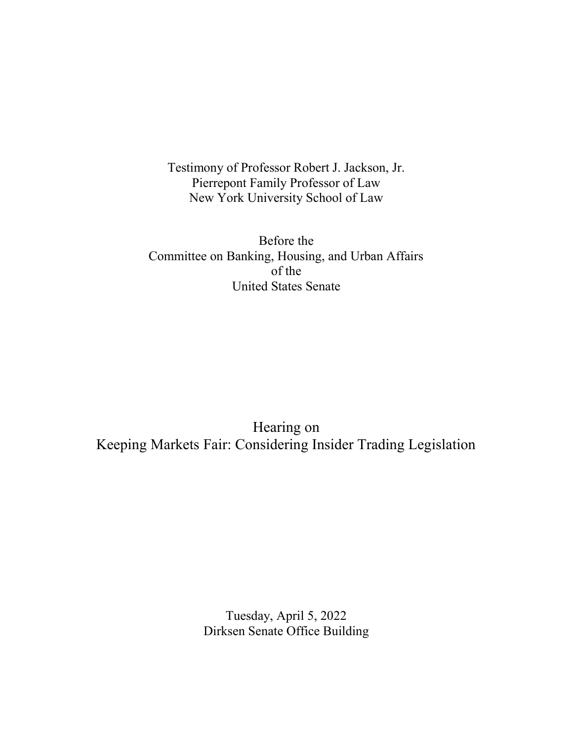Testimony of Professor Robert J. Jackson, Jr. Pierrepont Family Professor of Law New York University School of Law

Before the Committee on Banking, Housing, and Urban Affairs of the United States Senate

Hearing on Keeping Markets Fair: Considering Insider Trading Legislation

> Tuesday, April 5, 2022 Dirksen Senate Office Building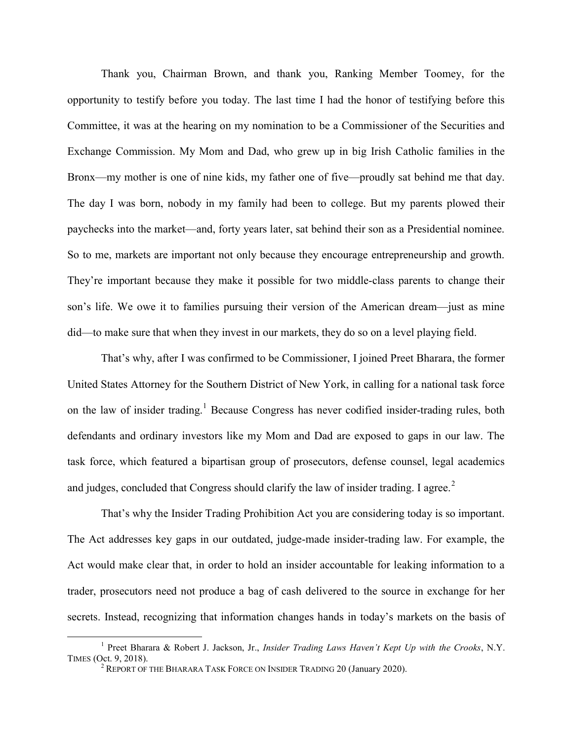Thank you, Chairman Brown, and thank you, Ranking Member Toomey, for the opportunity to testify before you today. The last time I had the honor of testifying before this Committee, it was at the hearing on my nomination to be a Commissioner of the Securities and Exchange Commission. My Mom and Dad, who grew up in big Irish Catholic families in the Bronx—my mother is one of nine kids, my father one of five—proudly sat behind me that day. The day I was born, nobody in my family had been to college. But my parents plowed their paychecks into the market—and, forty years later, sat behind their son as a Presidential nominee. So to me, markets are important not only because they encourage entrepreneurship and growth. They're important because they make it possible for two middle-class parents to change their son's life. We owe it to families pursuing their version of the American dream—just as mine did—to make sure that when they invest in our markets, they do so on a level playing field.

 That's why, after I was confirmed to be Commissioner, I joined Preet Bharara, the former United States Attorney for the Southern District of New York, in calling for a national task force on the law of insider trading.<sup>1</sup> Because Congress has never codified insider-trading rules, both defendants and ordinary investors like my Mom and Dad are exposed to gaps in our law. The task force, which featured a bipartisan group of prosecutors, defense counsel, legal academics and judges, concluded that Congress should clarify the law of insider trading. I agree.<sup>2</sup>

 That's why the Insider Trading Prohibition Act you are considering today is so important. The Act addresses key gaps in our outdated, judge-made insider-trading law. For example, the Act would make clear that, in order to hold an insider accountable for leaking information to a trader, prosecutors need not produce a bag of cash delivered to the source in exchange for her secrets. Instead, recognizing that information changes hands in today's markets on the basis of

<sup>&</sup>lt;sup>1</sup> Preet Bharara & Robert J. Jackson, Jr., *Insider Trading Laws Haven't Kept Up with the Crooks*, N.Y. TIMES (Oct. 9, 2018).

<sup>&</sup>lt;sup>2</sup> REPORT OF THE BHARARA TASK FORCE ON INSIDER TRADING 20 (January 2020).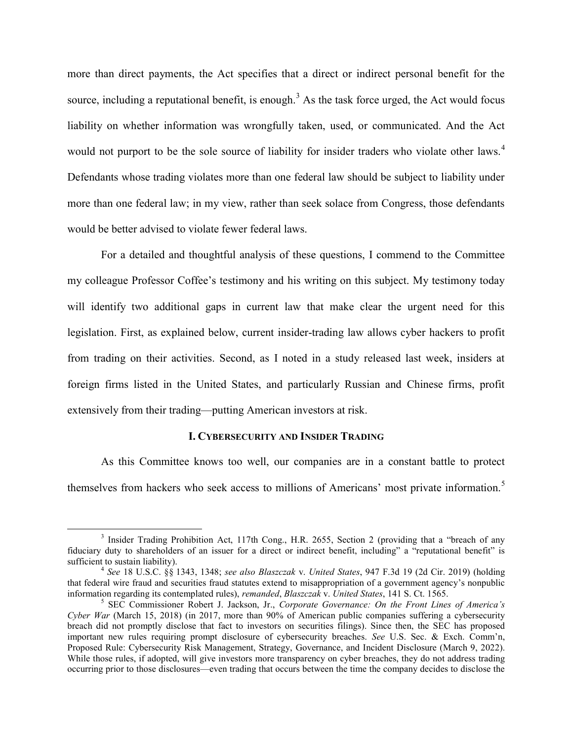more than direct payments, the Act specifies that a direct or indirect personal benefit for the source, including a reputational benefit, is enough.<sup>3</sup> As the task force urged, the Act would focus liability on whether information was wrongfully taken, used, or communicated. And the Act would not purport to be the sole source of liability for insider traders who violate other laws.<sup>4</sup> Defendants whose trading violates more than one federal law should be subject to liability under more than one federal law; in my view, rather than seek solace from Congress, those defendants would be better advised to violate fewer federal laws.

For a detailed and thoughtful analysis of these questions, I commend to the Committee my colleague Professor Coffee's testimony and his writing on this subject. My testimony today will identify two additional gaps in current law that make clear the urgent need for this legislation. First, as explained below, current insider-trading law allows cyber hackers to profit from trading on their activities. Second, as I noted in a study released last week, insiders at foreign firms listed in the United States, and particularly Russian and Chinese firms, profit extensively from their trading—putting American investors at risk.

## I. CYBERSECURITY AND INSIDER TRADING

 As this Committee knows too well, our companies are in a constant battle to protect themselves from hackers who seek access to millions of Americans' most private information.<sup>5</sup>

<sup>&</sup>lt;sup>3</sup> Insider Trading Prohibition Act, 117th Cong., H.R. 2655, Section 2 (providing that a "breach of any fiduciary duty to shareholders of an issuer for a direct or indirect benefit, including" a "reputational benefit" is sufficient to sustain liability).

 $4$  See 18 U.S.C. §§ 1343, 1348; see also Blaszczak v. United States, 947 F.3d 19 (2d Cir. 2019) (holding that federal wire fraud and securities fraud statutes extend to misappropriation of a government agency's nonpublic information regarding its contemplated rules), *remanded, Blaszczak v. United States*, 141 S. Ct. 1565.

<sup>&</sup>lt;sup>5</sup> SEC Commissioner Robert J. Jackson, Jr., Corporate Governance: On the Front Lines of America's Cyber War (March 15, 2018) (in 2017, more than 90% of American public companies suffering a cybersecurity breach did not promptly disclose that fact to investors on securities filings). Since then, the SEC has proposed important new rules requiring prompt disclosure of cybersecurity breaches. See U.S. Sec. & Exch. Comm'n, Proposed Rule: Cybersecurity Risk Management, Strategy, Governance, and Incident Disclosure (March 9, 2022). While those rules, if adopted, will give investors more transparency on cyber breaches, they do not address trading occurring prior to those disclosures—even trading that occurs between the time the company decides to disclose the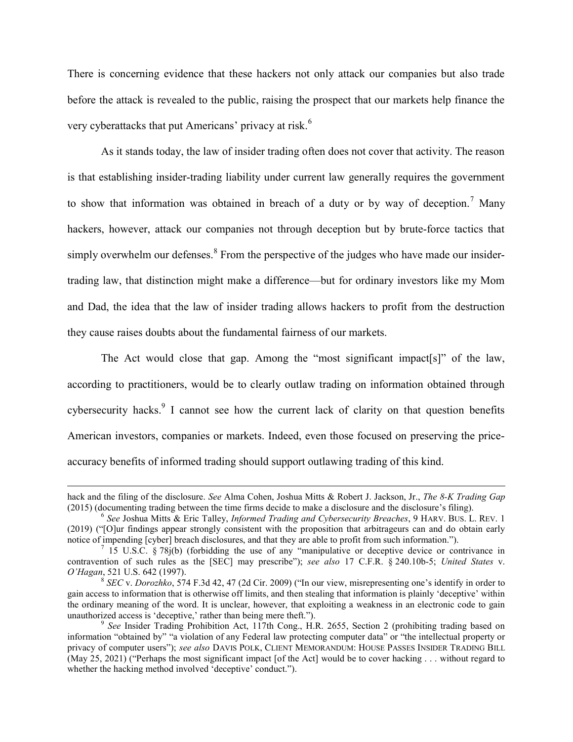There is concerning evidence that these hackers not only attack our companies but also trade before the attack is revealed to the public, raising the prospect that our markets help finance the very cyberattacks that put Americans' privacy at risk.<sup>6</sup>

 As it stands today, the law of insider trading often does not cover that activity. The reason is that establishing insider-trading liability under current law generally requires the government to show that information was obtained in breach of a duty or by way of deception.<sup>7</sup> Many hackers, however, attack our companies not through deception but by brute-force tactics that simply overwhelm our defenses. $8$  From the perspective of the judges who have made our insidertrading law, that distinction might make a difference—but for ordinary investors like my Mom and Dad, the idea that the law of insider trading allows hackers to profit from the destruction they cause raises doubts about the fundamental fairness of our markets.

 The Act would close that gap. Among the "most significant impact[s]" of the law, according to practitioners, would be to clearly outlaw trading on information obtained through cybersecurity hacks. I cannot see how the current lack of clarity on that question benefits American investors, companies or markets. Indeed, even those focused on preserving the priceaccuracy benefits of informed trading should support outlawing trading of this kind.

hack and the filing of the disclosure. See Alma Cohen, Joshua Mitts & Robert J. Jackson, Jr., The 8-K Trading Gap (2015) (documenting trading between the time firms decide to make a disclosure and the disclosure's filing).

<sup>&</sup>lt;sup>6</sup> See Joshua Mitts & Eric Talley, Informed Trading and Cybersecurity Breaches, 9 HARV. BUS. L. REV. 1 (2019) ("[O]ur findings appear strongly consistent with the proposition that arbitrageurs can and do obtain early notice of impending [cyber] breach disclosures, and that they are able to profit from such information.").

<sup>&</sup>lt;sup>7</sup> 15 U.S.C. § 78j(b) (forbidding the use of any "manipulative or deceptive device or contrivance in contravention of such rules as the [SEC] may prescribe"); see also 17 C.F.R. § 240.10b-5; United States v. O'Hagan, 521 U.S. 642 (1997).

 $8$  SEC v. Dorozhko, 574 F.3d 42, 47 (2d Cir. 2009) ("In our view, misrepresenting one's identify in order to gain access to information that is otherwise off limits, and then stealing that information is plainly 'deceptive' within the ordinary meaning of the word. It is unclear, however, that exploiting a weakness in an electronic code to gain unauthorized access is 'deceptive,' rather than being mere theft.").

<sup>&</sup>lt;sup>9</sup> See Insider Trading Prohibition Act, 117th Cong., H.R. 2655, Section 2 (prohibiting trading based on information "obtained by" "a violation of any Federal law protecting computer data" or "the intellectual property or privacy of computer users"); see also DAVIS POLK, CLIENT MEMORANDUM: HOUSE PASSES INSIDER TRADING BILL (May 25, 2021) ("Perhaps the most significant impact [of the Act] would be to cover hacking . . . without regard to whether the hacking method involved 'deceptive' conduct.").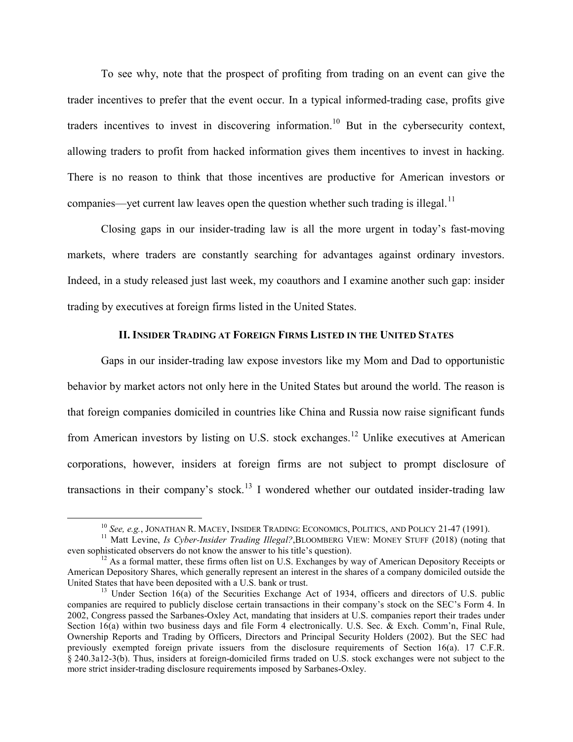To see why, note that the prospect of profiting from trading on an event can give the trader incentives to prefer that the event occur. In a typical informed-trading case, profits give traders incentives to invest in discovering information.<sup>10</sup> But in the cybersecurity context, allowing traders to profit from hacked information gives them incentives to invest in hacking. There is no reason to think that those incentives are productive for American investors or companies—yet current law leaves open the question whether such trading is illegal.<sup>11</sup>

 Closing gaps in our insider-trading law is all the more urgent in today's fast-moving markets, where traders are constantly searching for advantages against ordinary investors. Indeed, in a study released just last week, my coauthors and I examine another such gap: insider trading by executives at foreign firms listed in the United States.

## II. INSIDER TRADING AT FOREIGN FIRMS LISTED IN THE UNITED STATES

Gaps in our insider-trading law expose investors like my Mom and Dad to opportunistic behavior by market actors not only here in the United States but around the world. The reason is that foreign companies domiciled in countries like China and Russia now raise significant funds from American investors by listing on U.S. stock exchanges.<sup>12</sup> Unlike executives at American corporations, however, insiders at foreign firms are not subject to prompt disclosure of transactions in their company's stock.<sup>13</sup> I wondered whether our outdated insider-trading law

 $10$  See, e.g., JONATHAN R. MACEY, INSIDER TRADING: ECONOMICS, POLITICS, AND POLICY 21-47 (1991).

<sup>&</sup>lt;sup>11</sup> Matt Levine, Is Cyber-Insider Trading Illegal?, BLOOMBERG VIEW: MONEY STUFF (2018) (noting that even sophisticated observers do not know the answer to his title's question).

 $12$  As a formal matter, these firms often list on U.S. Exchanges by way of American Depository Receipts or American Depository Shares, which generally represent an interest in the shares of a company domiciled outside the United States that have been deposited with a U.S. bank or trust.

<sup>&</sup>lt;sup>13</sup> Under Section 16(a) of the Securities Exchange Act of 1934, officers and directors of U.S. public companies are required to publicly disclose certain transactions in their company's stock on the SEC's Form 4. In 2002, Congress passed the Sarbanes-Oxley Act, mandating that insiders at U.S. companies report their trades under Section 16(a) within two business days and file Form 4 electronically. U.S. Sec. & Exch. Comm'n, Final Rule, Ownership Reports and Trading by Officers, Directors and Principal Security Holders (2002). But the SEC had previously exempted foreign private issuers from the disclosure requirements of Section 16(a). 17 C.F.R. § 240.3a12-3(b). Thus, insiders at foreign-domiciled firms traded on U.S. stock exchanges were not subject to the more strict insider-trading disclosure requirements imposed by Sarbanes-Oxley.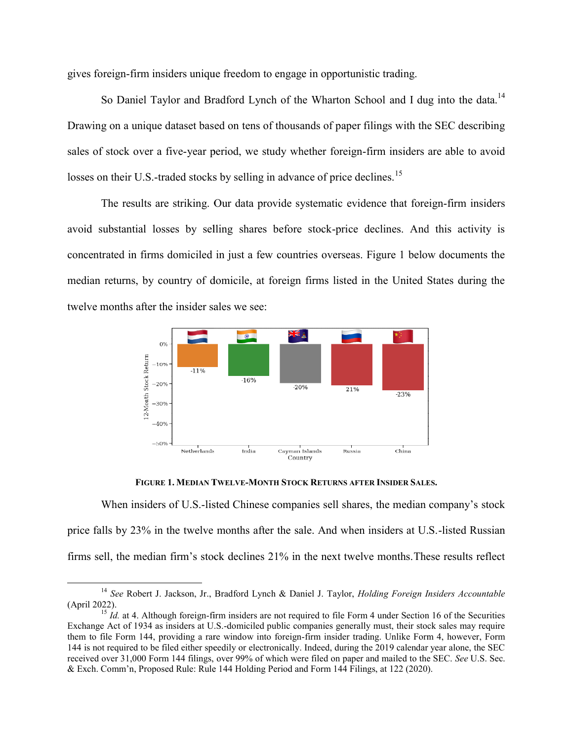gives foreign-firm insiders unique freedom to engage in opportunistic trading.

breign-firm insiders unique freedom to engage in opportunistic trading.<br>So Daniel Taylor and Bradford Lynch of the Wharton School and I dug into the data.<sup>14</sup> Drawing on a unique dataset based on tens of thousands of paper filings with the SEC describing Drawing on a unique dataset based on tens of thousands of paper filings with the SEC describing<br>sales of stock over a five-year period, we study whether foreign-firm insiders are able to avoid losses on their U.S.-traded stocks by selling in advance of price declines.<sup>15</sup>

The results are striking. Our data provide systematic evidence that foreign-firm insiders avoid substantial losses by selling shares before stock-price declines. And this activity is concentrated in firms domiciled in just a few countries overseas. Figure 1 below documents the median returns, by country of domicile, at foreign firms listed in the United States during the twelve months after the insider sales we see: ng shares before stock-price declines. And this activity<br>in just a few countries overseas. Figure 1 below documents<br>micile, at foreign firms listed in the United States during



FIGURE 1. MEDIAN T WELVE-MONTH STOCK RETURNS AFTER INSIDER SALES .

When insiders of U.S.-listed Chinese companies sell shares, the median company's stock price falls by 23% in the twelve months after the sale. And when insiders at U.S.-listed Russian<br>firms sell, the median firm's stock declines 21% in the next twelve months. These results reflect firms sell, the median firm's stock declines 21% in the next twelve months. These results

<sup>&</sup>lt;sup>14</sup> See Robert J. Jackson, Jr., Bradford Lynch & Daniel J. Taylor, *Holding Foreign Insiders Accountable* (April 2022).

 $15$  *Id.* at 4. Although foreign-firm insiders are not required to file Form 4 under Section 16 of the Securities Exchange Act of 1934 as insiders at U.S.-domiciled public companies generally must, their stock sales may require Exchange Act of 1934 as insiders at U.S.-domiciled public companies generally must, their stock sales may require<br>them to file Form 144, providing a rare window into foreign-firm insider trading. Unlike Form 4, however, Fo 144 is not required to be filed either speedily or electronically. Indeed, during the 2019 calendar year alone, the SEC received over 31,000 Form 144 filings, over 99% of which were filed on paper and mailed to the SEC. & Exch. Comm'n, Proposed Rule: Rule 144 Holdin g t required to be filed either speedily or electronically. Indeed, during the 2019 calendar year alone, the over 31,000 Form 144 filings, over 99% of which were filed on paper and mailed to the SEC. See U.S. Comm'n, Propose See U.S. Sec.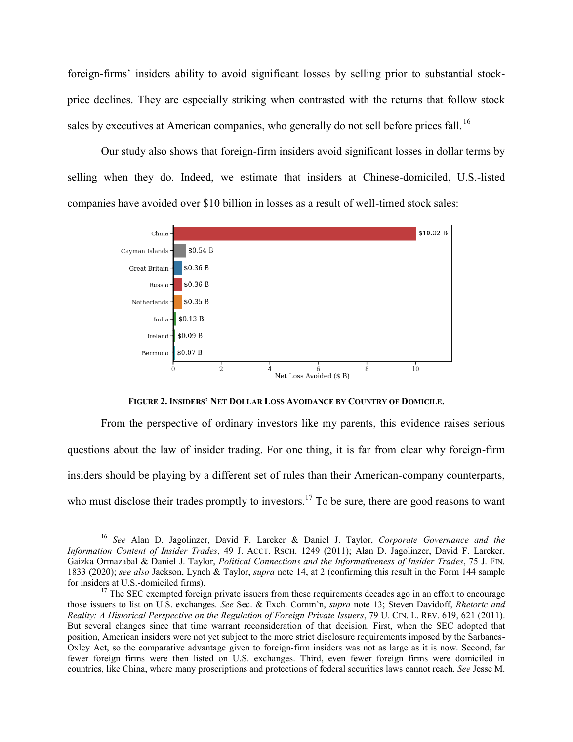foreign-firms' insiders ability to avoid significant losses by selling prior to substantial stockprice declines. They are especially striking when contrasted with the returns that follow stock sales by executives at American companies, who generally do not sell before prices fall. y are especially striking when contrasted with the returns that follow stock<br>at American companies, who generally do not sell before prices fall.<sup>16</sup><br>so shows that foreign-firm insiders avoid significant losses in dollar t 16

Our study also shows that foreign-firm insiders avoid significant losses in dollar terms by Our study also shows that foreign-firm insiders avoid significant losses in dollar terms by selling when they do. Indeed, we estimate that insiders at Chinese-domiciled, U.S.-listed companies have avoided over \$10 billion in losses as a result of well-timed stock sales:



FIGURE 2. INSIDERS' NET DOLLAR LOSS AVOIDANCE BY COUNTRY OF DOMICILE.

From the perspective of ordinary investors like my parents, this evidence raises serious From the perspective of ordinary investors like my parents, this evidence raises serious<br>questions about the law of insider trading. For one thing, it is far from clear why foreign-firm questions about the law of insider trading. For one thing, it is far from clear why foreign-firm<br>insiders should be playing by a different set of rules than their American-company counterparts, insiders should be playing by a different set of rules than their American-company counterparts,<br>who must disclose their trades promptly to investors.<sup>17</sup> To be sure, there are good reasons to want

<sup>&</sup>lt;sup>16</sup> See Alan D. Jagolinzer, David F. Larcker & Daniel J. Taylor, Corporate Governance and the Information Content of Insider Trades, 49 J. ACCT. RSCH. 1249 (2011); Alan D. Jagolinzer, David F. Larcker, Gaizka Ormazabal & Daniel J. Taylor, Political Connections and the Informativeness of Insider Trades, 75 J. FIN. 1833 (2020); see also Jackson, Lynch & Taylor, *supra* note 14, at 2 (confirming this result in the Form 144 sample for insiders at U.S.-domiciled firms). is result in the Form 144 sample<br>des ago in an effort to encourage<br>; Steven Davidoff, *Rhetoric and* 

 $17$  The SEC exempted foreign private issuers from these requirements decades ago in an effort to encourage those issuers to list on U.S. exchanges. See Sec. & Exch. Comm'n, *supra* note 13; Steven Davidoff, Reality: A Historical Perspective on the Regulation of Foreign Private Issuers, 79 U. CIN. L. REV. 619, 621 (2011). But several changes since that time warrant reconsideration of that decision. First, when the SEC adopted that But several changes since that time warrant reconsideration of that decision. First, when the SEC adopted that<br>position, American insiders were not yet subject to the more strict disclosure requirements imposed by the Sarb position, American insiders were not yet subject to the more strict disclosure requirements imposed by the Sarbanes-<br>Oxley Act, so the comparative advantage given to foreign-firm insiders was not as large as it is now. Sec fewer foreign firms were then listed on U.S. exchanges. Third, even fewer foreign firms were domiciled in fewer foreign firms were then listed on U.S. exchanges. Third, even fewer foreign firms were domiciled countries, like China, where many proscriptions and protections of federal securities laws cannot reach. See Jesse firm insiders was not as large as it is now. Second, far.<br>Third, even fewer foreign firms were domiciled in<br>ons of federal securities laws cannot reach. See Jesse M.